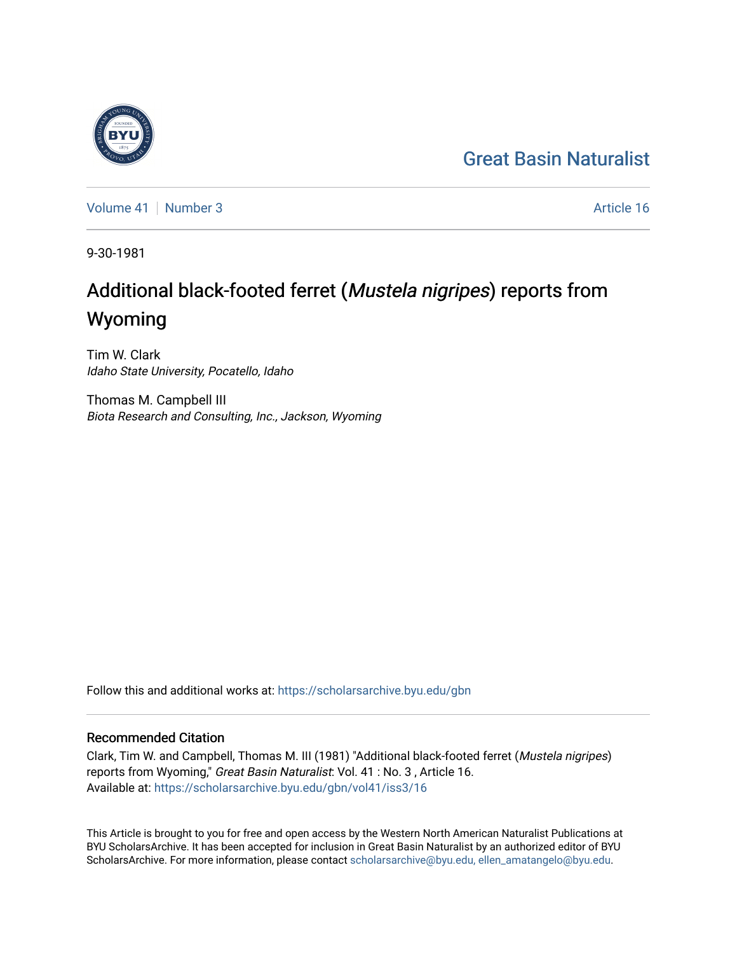## [Great Basin Naturalist](https://scholarsarchive.byu.edu/gbn)

[Volume 41](https://scholarsarchive.byu.edu/gbn/vol41) | [Number 3](https://scholarsarchive.byu.edu/gbn/vol41/iss3) Article 16

9-30-1981

# Additional black-footed ferret (Mustela nigripes) reports from Wyoming

Tim W. Clark Idaho State University, Pocatello, Idaho

Thomas M. Campbell III Biota Research and Consulting, Inc., Jackson, Wyoming

Follow this and additional works at: [https://scholarsarchive.byu.edu/gbn](https://scholarsarchive.byu.edu/gbn?utm_source=scholarsarchive.byu.edu%2Fgbn%2Fvol41%2Fiss3%2F16&utm_medium=PDF&utm_campaign=PDFCoverPages) 

## Recommended Citation

Clark, Tim W. and Campbell, Thomas M. III (1981) "Additional black-footed ferret (Mustela nigripes) reports from Wyoming," Great Basin Naturalist: Vol. 41 : No. 3 , Article 16. Available at: [https://scholarsarchive.byu.edu/gbn/vol41/iss3/16](https://scholarsarchive.byu.edu/gbn/vol41/iss3/16?utm_source=scholarsarchive.byu.edu%2Fgbn%2Fvol41%2Fiss3%2F16&utm_medium=PDF&utm_campaign=PDFCoverPages) 

This Article is brought to you for free and open access by the Western North American Naturalist Publications at BYU ScholarsArchive. It has been accepted for inclusion in Great Basin Naturalist by an authorized editor of BYU ScholarsArchive. For more information, please contact [scholarsarchive@byu.edu, ellen\\_amatangelo@byu.edu.](mailto:scholarsarchive@byu.edu,%20ellen_amatangelo@byu.edu)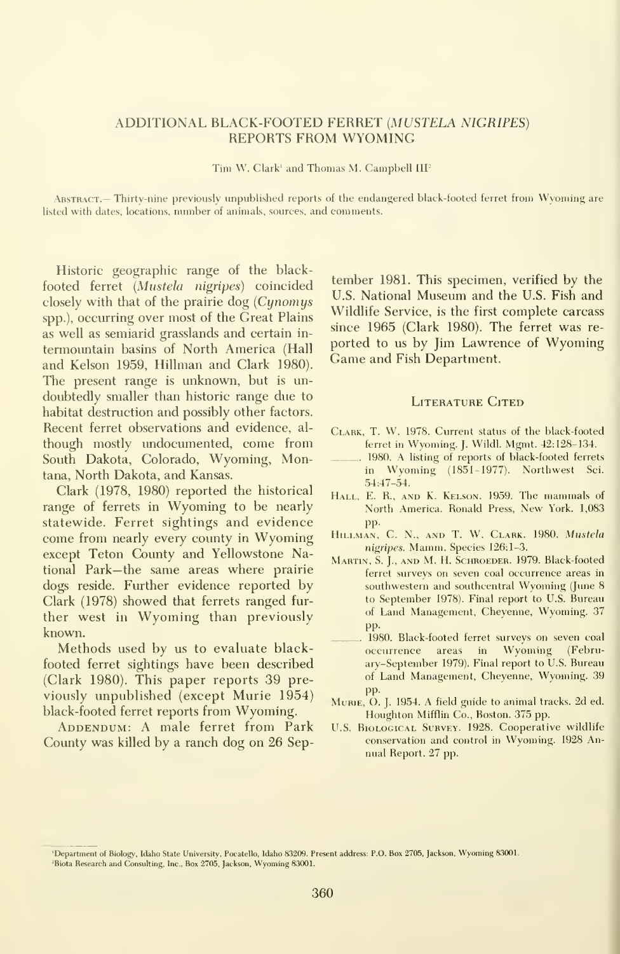### ADDITIONAL BLACK-FOOTED FERRET {MUSTELA NIGRIPES) REPORTS FROM WYOMING

Tim W. Clark' and Thomas M. Campbell III'

Abstract.— Thirty-nine previously unpublished reports of the endangered black-footed ferret from Wyoming are listed with dates, locations, number of animals, sources, and comments.

Historic geographic range of the black footed ferret (Mustela nigripes) coincided closely with that of the prairie dog  $(Cynomys)$ spp.), occurring over most of the Great Plains as well as semiarid grasslands and certain in termountain basins of North America (Hall and Kelson 1959, Hillman and Clark 1980). The present range is unknown, but is un doubtedly smaller than historic range due to habitat destruction and possibly other factors. Recent ferret observations and evidence, al though mostly undocumented, come from South Dakota, Colorado, Wyoming, Montana, North Dakota, and Kansas.

Clark (1978, 1980) reported the historical range of ferrets in Wyoming to be nearly statewide. Ferret sightings and evidence come from nearly every county in Wyoming except Teton County and Yellowstone National Park—the same areas where prairie dogs reside. Further evidence reported by Clark (1978) showed that ferrets ranged fur ther west in Wyoming than previously known.

Methods used by us to evaluate blackfooted ferret sightings have been described (Clark 1980). This paper reports 39 pre viously unpublished (except Murie 1954) black-footed ferret reports from Wyoming.

ADDENDUM: A male ferret from Park County was killed by a ranch dog on 26 Sep-

tember 1981. This specimen, verified by the U.S. National Museum and the U.S. Fish and Wildlife Service, is the first complete carcass since 1965 (Clark 1980). The ferret was re ported to us by Jim Lawrence of Wyoming Game and Fish Department.

#### LITERATURE CITED

- Clark, T. W. 1978. Current status of the black-footed ferret in Wyoming. J. Wildl. Mgmt. 42:128-134.
- 1980. A listing of reports of black-footed ferrets in Wyoming (1851-1977). Northwest Sci. 54:47-54.
- HALL, E. R., AND K. KELSON. 1959. The mammals of North America. Ronald Press, New York. 1,083 pp.
- Hillman, C. N., and T. W. Clark. 1980. Mustela nigripes. Mamm. Species 126:1-3.
- Martin, S. J., and M. H. Schroeder. 1979. Black-footed ferret surveys on seven coal occurrence areas in southwestern and southcentral Wyoming (June 8 to September 1978). Final report to U.S. Bureau of Land Management, Cheyenne, Wyoming. 37 pp.
- 1980. Black-footed ferret surveys on seven coal occurrence areas in Wyoming (Febru ary-September 1979). Final report to U.S. Bureau of Land Management, Cheyenne, Wyoming. 39 pp.
- MuRiE, O. J. 1954. A field guide to animal tracks. 2d ed. Houghton Mifflin Co., Boston. 375 pp.
- U.S. Biological Survey. 1928. Cooperative wildlife conservation and control in Wyoming. 1928 Annual Report. 27 pp.

<sup>&#</sup>x27;Department of Biology, Idaho State University, Pocatello, Idaho 83209. Present address: P.O. Box 2705, Jackson, Wyoming 8300L 'Biota Research and Consulting, Inc., Box 2705, Jackson, Wyoming 83001.